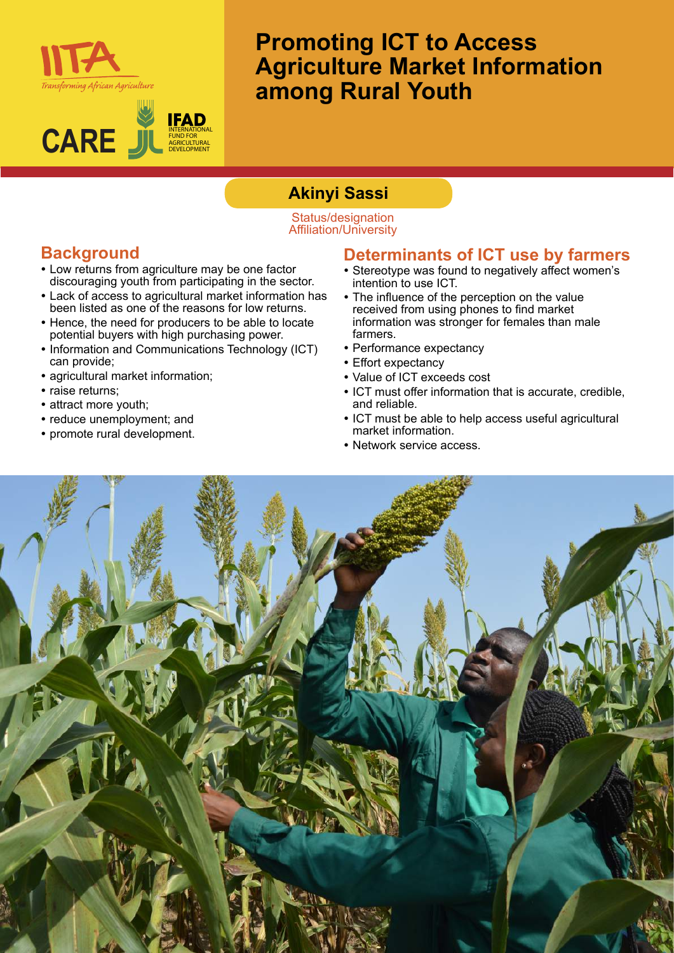



# **Promoting ICT to Access Agriculture Market Information among Rural Youth**

## **Akinyi Sassi**

#### Status/designation Affiliation/University

### **Background**

- Low returns from agriculture may be one factor discouraging youth from participating in the sector.
- Lack of access to agricultural market information has been listed as one of the reasons for low returns.
- Hence, the need for producers to be able to locate potential buyers with high purchasing power.
- Information and Communications Technology (ICT) can provide;
- agricultural market information;
- raise returns;
- attract more youth;
- reduce unemployment; and
- promote rural development.

#### **Determinants of ICT use by farmers**

- Stereotype was found to negatively affect women's intention to use ICT.
- The influence of the perception on the value received from using phones to find market information was stronger for females than male farmers.
- Performance expectancy
- Effort expectancy
- Value of ICT exceeds cost
- ICT must offer information that is accurate, credible, and reliable.
- ICT must be able to help access useful agricultural market information.
- Network service access.